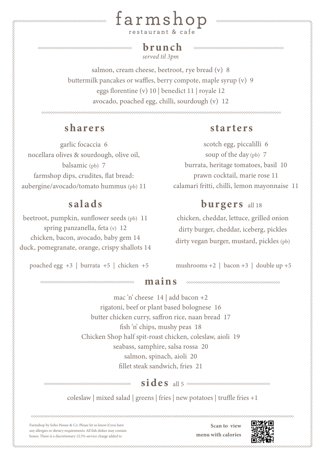

## *served til 3pm* brunch

salmon, cream cheese, beetroot, rye bread (v) 8 buttermilk pancakes or waffles, berry compote, maple syrup (v) 9 eggs florentine (v) 10 | benedict 11 | royale 12 avocado, poached egg, chilli, sourdough (v) 12

garlic focaccia 6 nocellara olives & sourdough, olive oil, balsamic (pb) 7 farmshop dips, crudites, flat bread: aubergine/avocado/tomato hummus (pb) 11

# salads

beetroot, pumpkin, sunflower seeds (pb) 11 spring panzanella, feta (v) 12 chicken, bacon, avocado, baby gem 14 duck, pomegranate, orange, crispy shallots 14

poached egg +3 | burrata +5 | chicken +5 mushrooms +2 | bacon +3 | double up +5

# sharers starters

scotch egg, piccalilli 6 soup of the day (pb) 7 burrata, heritage tomatoes, basil 10 prawn cocktail, marie rose 11 calamari fritti, chilli, lemon mayonnaise 11

# **burgers** all 18

chicken, cheddar, lettuce, grilled onion dirty burger, cheddar, iceberg, pickles dirty vegan burger, mustard, pickles (pb) # mains

mac 'n' cheese 14 | add bacon +2 rigatoni, beef or plant based bolognese 16 butter chicken curry, saffron rice, naan bread 17 fish 'n' chips, mushy peas 18 Chicken Shop half spit-roast chicken, coleslaw, aioli 19 seabass, samphire, salsa rossa 20 salmon, spinach, aioli 20 fillet steak sandwich, fries 21

 $sides$  all 5  $\infty$  second conditions are considered as a second conditions of  $size$ 

coleslaw | mixed salad | greens | fries | new potatoes | truffle fries +1

Farmshop by Soho House & Co. Please let us know if you have any allergies or dietary requirements. All fish dishes may contain bones. There is a discretionary 12.5% service charge added to

Scan to view menu with calories